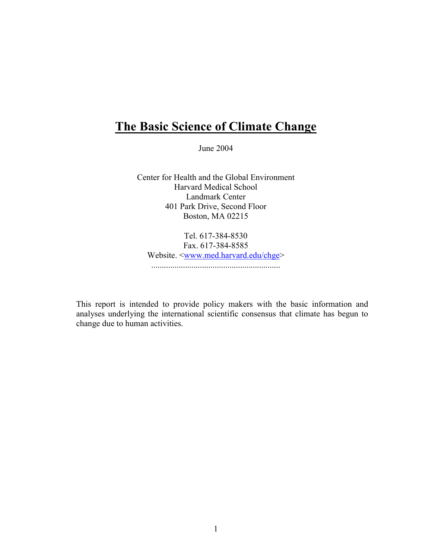# **The Basic Science of Climate Change**

June 2004

Center for Health and the Global Environment Harvard Medical School Landmark Center 401 Park Drive, Second Floor Boston, MA 02215

Tel. 617-384-8530 Fax. 617-384-8585 Website. <<u>www.med.harvard.edu/chge</u>> .............................................................

This report is intended to provide policy makers with the basic information and analyses underlying the international scientific consensus that climate has begun to change due to human activities.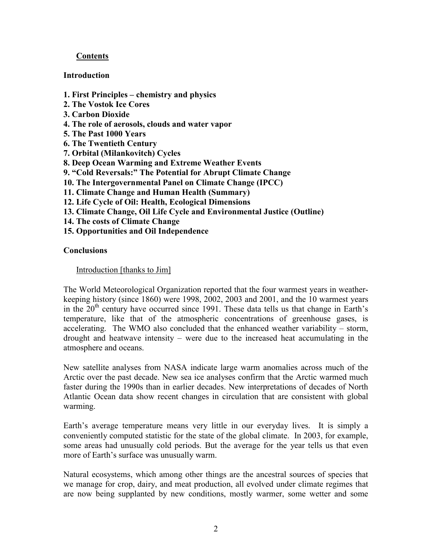# **Contents**

## **Introduction**

- **1. First Principles chemistry and physics**
- **2. The Vostok Ice Cores**
- **3. Carbon Dioxide**
- **4. The role of aerosols, clouds and water vapor**
- **5. The Past 1000 Years**
- **6. The Twentieth Century**
- **7. Orbital (Milankovitch) Cycles**
- **8. Deep Ocean Warming and Extreme Weather Events**
- **9. "Cold Reversals:" The Potential for Abrupt Climate Change**
- **10. The Intergovernmental Panel on Climate Change (IPCC)**
- **11. Climate Change and Human Health (Summary)**
- **12. Life Cycle of Oil: Health, Ecological Dimensions**
- **13. Climate Change, Oil Life Cycle and Environmental Justice (Outline)**
- **14. The costs of Climate Change**
- **15. Opportunities and Oil Independence**

## **Conclusions**

## Introduction [thanks to Jim]

The World Meteorological Organization reported that the four warmest years in weatherkeeping history (since 1860) were 1998, 2002, 2003 and 2001, and the 10 warmest years in the  $20<sup>th</sup>$  century have occurred since 1991. These data tells us that change in Earth's temperature, like that of the atmospheric concentrations of greenhouse gases, is accelerating. The WMO also concluded that the enhanced weather variability – storm, drought and heatwave intensity – were due to the increased heat accumulating in the atmosphere and oceans.

New satellite analyses from NASA indicate large warm anomalies across much of the Arctic over the past decade. New sea ice analyses confirm that the Arctic warmed much faster during the 1990s than in earlier decades. New interpretations of decades of North Atlantic Ocean data show recent changes in circulation that are consistent with global warming.

Earth's average temperature means very little in our everyday lives. It is simply a conveniently computed statistic for the state of the global climate. In 2003, for example, some areas had unusually cold periods. But the average for the year tells us that even more of Earth's surface was unusually warm.

Natural ecosystems, which among other things are the ancestral sources of species that we manage for crop, dairy, and meat production, all evolved under climate regimes that are now being supplanted by new conditions, mostly warmer, some wetter and some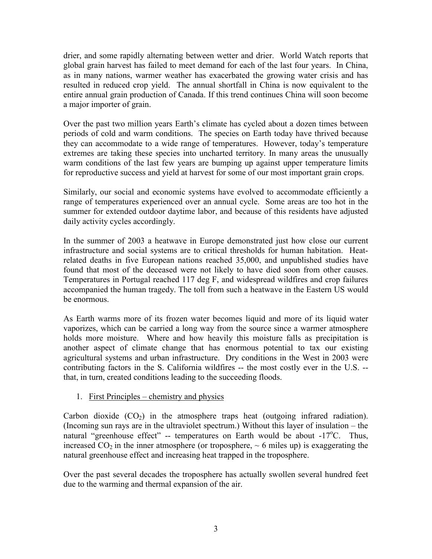drier, and some rapidly alternating between wetter and drier. World Watch reports that global grain harvest has failed to meet demand for each of the last four years. In China, as in many nations, warmer weather has exacerbated the growing water crisis and has resulted in reduced crop yield. The annual shortfall in China is now equivalent to the entire annual grain production of Canada. If this trend continues China will soon become a major importer of grain.

Over the past two million years Earth's climate has cycled about a dozen times between periods of cold and warm conditions. The species on Earth today have thrived because they can accommodate to a wide range of temperatures. However, today's temperature extremes are taking these species into uncharted territory. In many areas the unusually warm conditions of the last few years are bumping up against upper temperature limits for reproductive success and yield at harvest for some of our most important grain crops.

Similarly, our social and economic systems have evolved to accommodate efficiently a range of temperatures experienced over an annual cycle. Some areas are too hot in the summer for extended outdoor daytime labor, and because of this residents have adjusted daily activity cycles accordingly.

In the summer of 2003 a heatwave in Europe demonstrated just how close our current infrastructure and social systems are to critical thresholds for human habitation. Heatrelated deaths in five European nations reached 35,000, and unpublished studies have found that most of the deceased were not likely to have died soon from other causes. Temperatures in Portugal reached 117 deg F, and widespread wildfires and crop failures accompanied the human tragedy. The toll from such a heatwave in the Eastern US would be enormous.

As Earth warms more of its frozen water becomes liquid and more of its liquid water vaporizes, which can be carried a long way from the source since a warmer atmosphere holds more moisture. Where and how heavily this moisture falls as precipitation is another aspect of climate change that has enormous potential to tax our existing agricultural systems and urban infrastructure. Dry conditions in the West in 2003 were contributing factors in the S. California wildfires -- the most costly ever in the U.S. - that, in turn, created conditions leading to the succeeding floods.

## 1. First Principles – chemistry and physics

Carbon dioxide  $(CO_2)$  in the atmosphere traps heat (outgoing infrared radiation). (Incoming sun rays are in the ultraviolet spectrum.) Without this layer of insulation – the natural "greenhouse effect" -- temperatures on Earth would be about -17°C. Thus, increased  $CO_2$  in the inner atmosphere (or troposphere,  $\sim$  6 miles up) is exaggerating the natural greenhouse effect and increasing heat trapped in the troposphere.

Over the past several decades the troposphere has actually swollen several hundred feet due to the warming and thermal expansion of the air.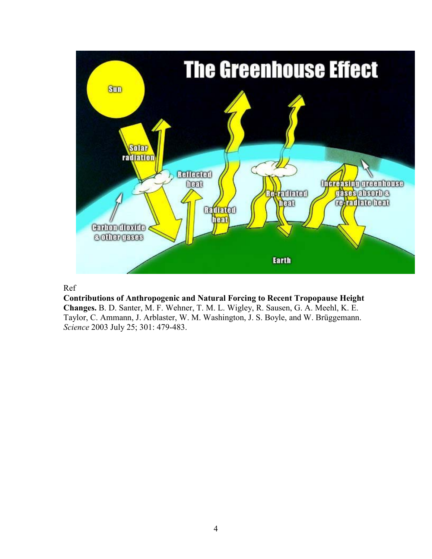

## Ref

**Contributions of Anthropogenic and Natural Forcing to Recent Tropopause Height Changes.** B. D. Santer, M. F. Wehner, T. M. L. Wigley, R. Sausen, G. A. Meehl, K. E. Taylor, C. Ammann, J. Arblaster, W. M. Washington, J. S. Boyle, and W. Brüggemann. *Science* 2003 July 25; 301: 479-483.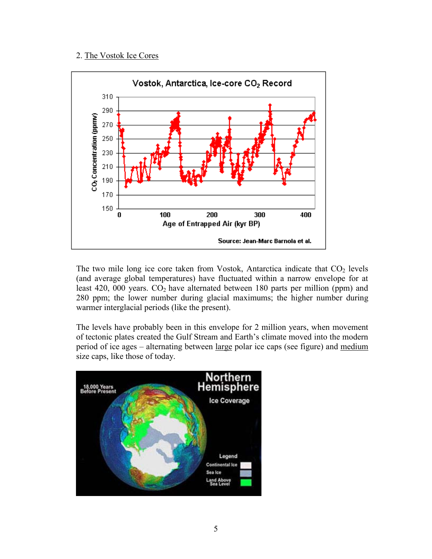#### 2. The Vostok Ice Cores



The two mile long ice core taken from Vostok, Antarctica indicate that  $CO<sub>2</sub>$  levels (and average global temperatures) have fluctuated within a narrow envelope for at least 420, 000 years.  $CO<sub>2</sub>$  have alternated between 180 parts per million (ppm) and 280 ppm; the lower number during glacial maximums; the higher number during warmer interglacial periods (like the present).

The levels have probably been in this envelope for 2 million years, when movement of tectonic plates created the Gulf Stream and Earth's climate moved into the modern period of ice ages – alternating between large polar ice caps (see figure) and medium size caps, like those of today.

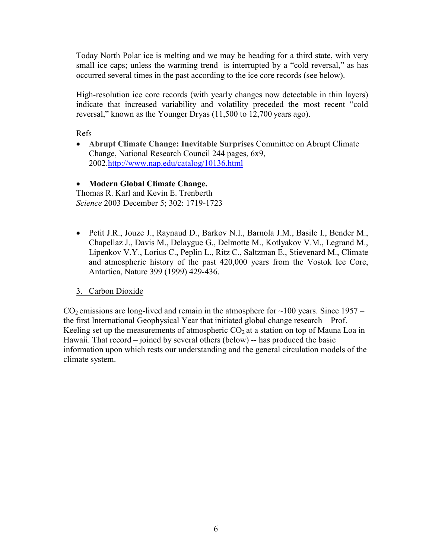Today North Polar ice is melting and we may be heading for a third state, with very small ice caps; unless the warming trend is interrupted by a "cold reversal," as has occurred several times in the past according to the ice core records (see below).

High-resolution ice core records (with yearly changes now detectable in thin layers) indicate that increased variability and volatility preceded the most recent "cold reversal," known as the Younger Dryas (11,500 to 12,700 years ago).

Refs

• **Abrupt Climate Change: Inevitable Surprises** Committee on Abrupt Climate Change, National Research Council 244 pages, 6x9, 2002.<http://www.nap.edu/catalog/10136.html>

# • **Modern Global Climate Change.**

Thomas R. Karl and Kevin E. Trenberth *Science* 2003 December 5; 302: 1719-1723

• Petit J.R., Jouze J., Raynaud D., Barkov N.I., Barnola J.M., Basile I., Bender M., Chapellaz J., Davis M., Delaygue G., Delmotte M., Kotlyakov V.M., Legrand M., Lipenkov V.Y., Lorius C., Peplin L., Ritz C., Saltzman E., Stievenard M., Climate and atmospheric history of the past 420,000 years from the Vostok Ice Core, Antartica, Nature 399 (1999) 429-436.

# 3. Carbon Dioxide

 $CO<sub>2</sub>$  emissions are long-lived and remain in the atmosphere for  $\sim$ 100 years. Since 1957 – the first International Geophysical Year that initiated global change research – Prof. Keeling set up the measurements of atmospheric  $CO<sub>2</sub>$  at a station on top of Mauna Loa in Hawaii. That record – joined by several others (below) -- has produced the basic information upon which rests our understanding and the general circulation models of the climate system.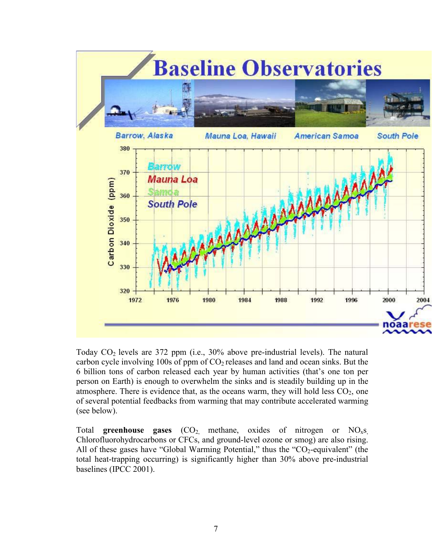

Today  $CO<sub>2</sub>$  levels are 372 ppm (i.e., 30% above pre-industrial levels). The natural carbon cycle involving 100s of ppm of  $CO<sub>2</sub>$  releases and land and ocean sinks. But the 6 billion tons of carbon released each year by human activities (that's one ton per person on Earth) is enough to overwhelm the sinks and is steadily building up in the atmosphere. There is evidence that, as the oceans warm, they will hold less  $CO<sub>2</sub>$ , one of several potential feedbacks from warming that may contribute accelerated warming (see below).

Total **greenhouse gases** (CO<sub>2,</sub> methane, oxides of nitrogen or NO<sub>x</sub>s, Chlorofluorohydrocarbons or CFCs, and ground-level ozone or smog) are also rising. All of these gases have "Global Warming Potential," thus the " $CO<sub>2</sub>$ -equivalent" (the total heat-trapping occurring) is significantly higher than 30% above pre-industrial baselines (IPCC 2001).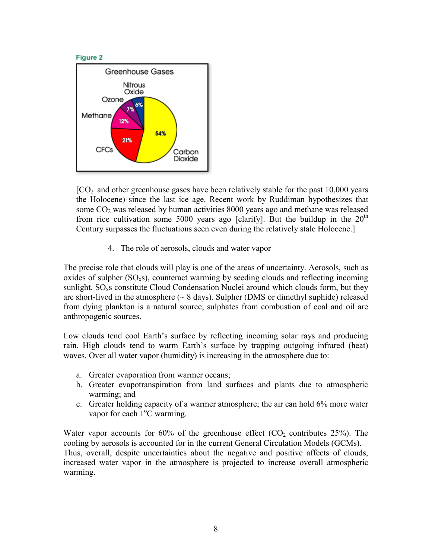

 $[CO<sub>2</sub>]$  and other greenhouse gases have been relatively stable for the past 10,000 years the Holocene) since the last ice age. Recent work by Ruddiman hypothesizes that some  $CO<sub>2</sub>$  was released by human activities 8000 years ago and methane was released from rice cultivation some 5000 years ago [clarify]. But the buildup in the  $20<sup>th</sup>$ Century surpasses the fluctuations seen even during the relatively stale Holocene.]

## 4. The role of aerosols, clouds and water vapor

The precise role that clouds will play is one of the areas of uncertainty. Aerosols, such as oxides of sulpher  $(SO_x s)$ , counteract warming by seeding clouds and reflecting incoming sunlight.  $SO<sub>x</sub>$ s constitute Cloud Condensation Nuclei around which clouds form, but they are short-lived in the atmosphere  $(\sim 8 \text{ days})$ . Sulpher (DMS or dimethyl suphide) released from dying plankton is a natural source; sulphates from combustion of coal and oil are anthropogenic sources.

Low clouds tend cool Earth's surface by reflecting incoming solar rays and producing rain. High clouds tend to warm Earth's surface by trapping outgoing infrared (heat) waves. Over all water vapor (humidity) is increasing in the atmosphere due to:

- a. Greater evaporation from warmer oceans;
- b. Greater evapotranspiration from land surfaces and plants due to atmospheric warming; and
- c. Greater holding capacity of a warmer atmosphere; the air can hold 6% more water vapor for each  $1^{\circ}$ C warming.

Water vapor accounts for 60% of the greenhouse effect  $(CO<sub>2</sub>$  contributes 25%). The cooling by aerosols is accounted for in the current General Circulation Models (GCMs). Thus, overall, despite uncertainties about the negative and positive affects of clouds, increased water vapor in the atmosphere is projected to increase overall atmospheric warming.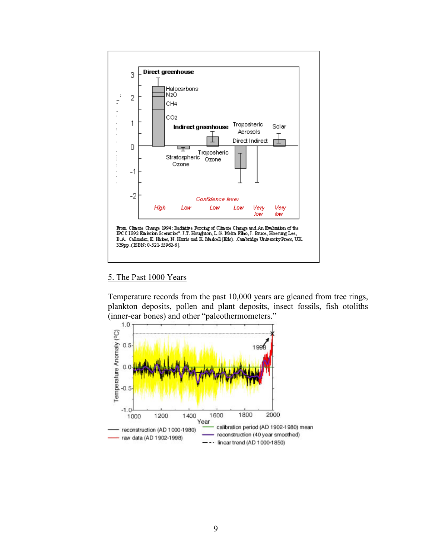

#### 5. The Past 1000 Years

Temperature records from the past 10,000 years are gleaned from tree rings, plankton deposits, pollen and plant deposits, insect fossils, fish otoliths (inner-ear bones) and other "paleothermometers."

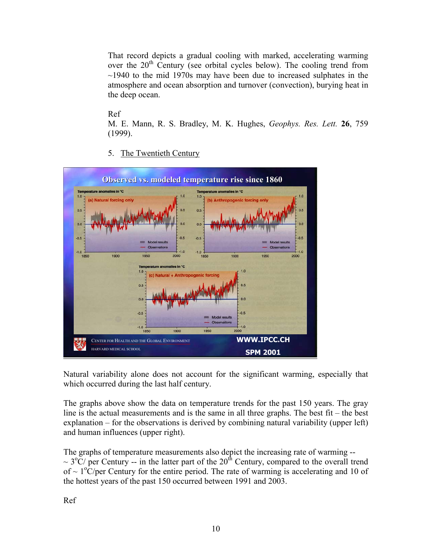That record depicts a gradual cooling with marked, accelerating warming over the  $20<sup>th</sup>$  Century (see orbital cycles below). The cooling trend from  $\sim$ 1940 to the mid 1970s may have been due to increased sulphates in the atmosphere and ocean absorption and turnover (convection), burying heat in the deep ocean.

Ref

M. E. Mann, R. S. Bradley, M. K. Hughes, *Geophys. Res. Lett.* **26**, 759 (1999).

5. The Twentieth Century



Natural variability alone does not account for the significant warming, especially that which occurred during the last half century.

The graphs above show the data on temperature trends for the past 150 years. The gray line is the actual measurements and is the same in all three graphs. The best fit – the best explanation – for the observations is derived by combining natural variability (upper left) and human influences (upper right).

The graphs of temperature measurements also depict the increasing rate of warming --  $\sim$  3<sup>o</sup>C/ per Century -- in the latter part of the 20<sup>th</sup> Century, compared to the overall trend of  $\sim 1^{\circ}$ C/per Century for the entire period. The rate of warming is accelerating and 10 of the hottest years of the past 150 occurred between 1991 and 2003.

Ref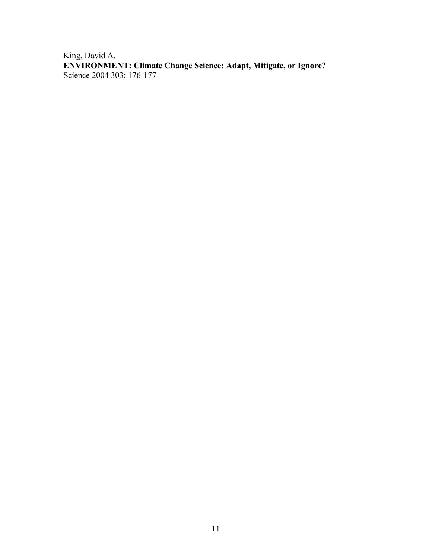King, David A. **ENVIRONMENT: Climate Change Science: Adapt, Mitigate, or Ignore?** Science 2004 303: 176-177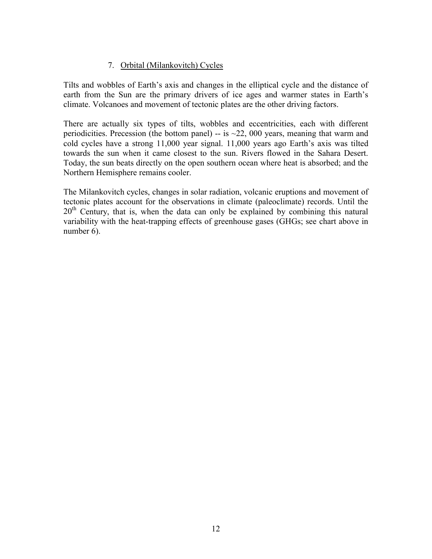# 7. Orbital (Milankovitch) Cycles

Tilts and wobbles of Earth's axis and changes in the elliptical cycle and the distance of earth from the Sun are the primary drivers of ice ages and warmer states in Earth's climate. Volcanoes and movement of tectonic plates are the other driving factors.

There are actually six types of tilts, wobbles and eccentricities, each with different periodicities. Precession (the bottom panel) -- is  $\approx$  22, 000 years, meaning that warm and cold cycles have a strong 11,000 year signal. 11,000 years ago Earth's axis was tilted towards the sun when it came closest to the sun. Rivers flowed in the Sahara Desert. Today, the sun beats directly on the open southern ocean where heat is absorbed; and the Northern Hemisphere remains cooler.

The Milankovitch cycles, changes in solar radiation, volcanic eruptions and movement of tectonic plates account for the observations in climate (paleoclimate) records. Until the  $20<sup>th</sup>$  Century, that is, when the data can only be explained by combining this natural variability with the heat-trapping effects of greenhouse gases (GHGs; see chart above in number 6).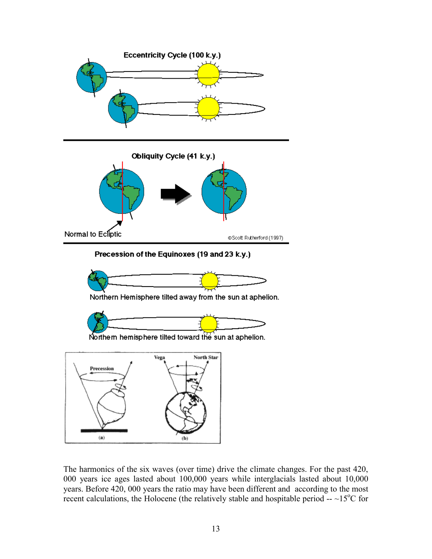

Precession of the Equinoxes (19 and 23 k.y.)



Northern Hemisphere tilted away from the sun at aphelion.







The harmonics of the six waves (over time) drive the climate changes. For the past 420, 000 years ice ages lasted about 100,000 years while interglacials lasted about 10,000 years. Before 420, 000 years the ratio may have been different and according to the most recent calculations, the Holocene (the relatively stable and hospitable period  $-$  ~15<sup>o</sup>C for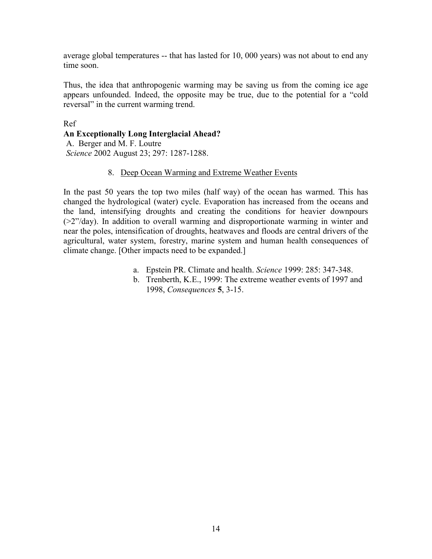average global temperatures -- that has lasted for 10, 000 years) was not about to end any time soon.

Thus, the idea that anthropogenic warming may be saving us from the coming ice age appears unfounded. Indeed, the opposite may be true, due to the potential for a "cold reversal" in the current warming trend.

Ref **An Exceptionally Long Interglacial Ahead?** A. Berger and M. F. Loutre *Science* 2002 August 23; 297: 1287-1288.

## 8. Deep Ocean Warming and Extreme Weather Events

In the past 50 years the top two miles (half way) of the ocean has warmed. This has changed the hydrological (water) cycle. Evaporation has increased from the oceans and the land, intensifying droughts and creating the conditions for heavier downpours (>2"/day). In addition to overall warming and disproportionate warming in winter and near the poles, intensification of droughts, heatwaves and floods are central drivers of the agricultural, water system, forestry, marine system and human health consequences of climate change. [Other impacts need to be expanded.]

- a. Epstein PR. Climate and health. *Science* 1999: 285: 347-348.
- b. Trenberth, K.E., 1999: The extreme weather events of 1997 and 1998, *Consequences* **5**, 3-15.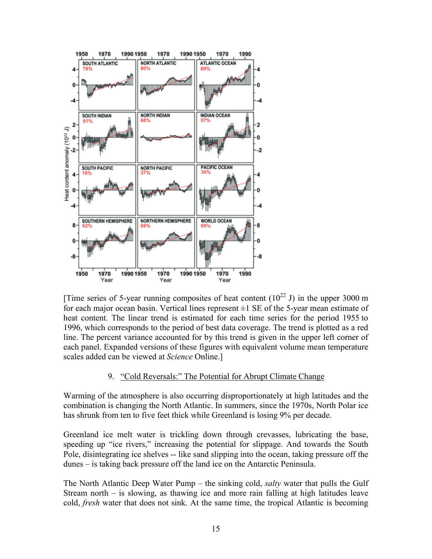

[\[](http://www.sciencemag.org/cgi/content/full/287/5461/2225/F4)Time series of 5-year running composites of heat content  $(10^{22} \text{ J})$  in the upper 3000 m for each major ocean basin. Vertical lines represent  $\pm 1$  SE of the 5-year mean estimate of heat content. The linear trend is estimated for each time series for the period 1955 to 1996, which corresponds to the period of best data coverage. The trend is plotted as a red line. The percent variance accounted for by this trend is given in the upper left corner of each panel. Expanded versions of these figures with equivalent volume mean temperature scales added can be viewed at *Science* Online.]

## 9. "Cold Reversals:" The Potential for Abrupt Climate Change

Warming of the atmosphere is also occurring disproportionately at high latitudes and the combination is changing the North Atlantic. In summers, since the 1970s, North Polar ice has shrunk from ten to five feet thick while Greenland is losing 9% per decade.

Greenland ice melt water is trickling down through crevasses, lubricating the base, speeding up "ice rivers," increasing the potential for slippage. And towards the South Pole, disintegrating ice shelves -- like sand slipping into the ocean, taking pressure off the dunes – is taking back pressure off the land ice on the Antarctic Peninsula.

The North Atlantic Deep Water Pump – the sinking cold, *salty* water that pulls the Gulf Stream north – is slowing, as thawing ice and more rain falling at high latitudes leave cold, *fresh* water that does not sink. At the same time, the tropical Atlantic is becoming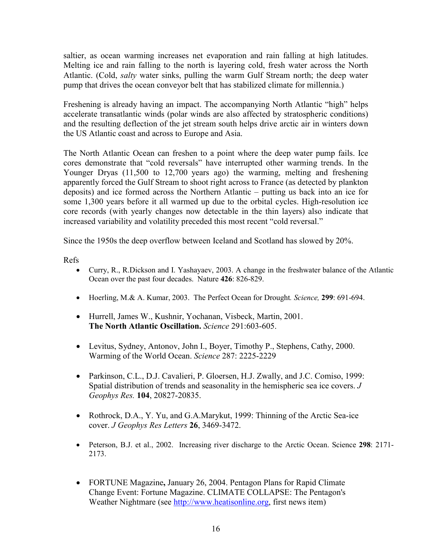saltier, as ocean warming increases net evaporation and rain falling at high latitudes. Melting ice and rain falling to the north is layering cold, fresh water across the North Atlantic. (Cold, *salty* water sinks, pulling the warm Gulf Stream north; the deep water pump that drives the ocean conveyor belt that has stabilized climate for millennia.)

Freshening is already having an impact. The accompanying North Atlantic "high" helps accelerate transatlantic winds (polar winds are also affected by stratospheric conditions) and the resulting deflection of the jet stream south helps drive arctic air in winters down the US Atlantic coast and across to Europe and Asia.

The North Atlantic Ocean can freshen to a point where the deep water pump fails. Ice cores demonstrate that "cold reversals" have interrupted other warming trends. In the Younger Dryas (11,500 to 12,700 years ago) the warming, melting and freshening apparently forced the Gulf Stream to shoot right across to France (as detected by plankton deposits) and ice formed across the Northern Atlantic – putting us back into an ice for some 1,300 years before it all warmed up due to the orbital cycles. High-resolution ice core records (with yearly changes now detectable in the thin layers) also indicate that increased variability and volatility preceded this most recent "cold reversal."

Since the 1950s the deep overflow between Iceland and Scotland has slowed by 20%.

Refs

- Curry, R., R.Dickson and I. Yashayaev, 2003. A change in the freshwater balance of the Atlantic Ocean over the past four decades. Nature **426**: 826-829.
- Hoerling, M.& A. Kumar, 2003. The Perfect Ocean for Drought*. Science,* **299**: 691-694.
- Hurrell, James W., Kushnir, Yochanan, Visbeck, Martin, 2001. **The North Atlantic Oscillation.** *Science* 291:603-605.
- Levitus, Sydney, Antonov, John I., Boyer, Timothy P., Stephens, Cathy, 2000. Warming of the World Ocean. *Science* 287: 2225-2229
- Parkinson, C.L., D.J. Cavalieri, P. Gloersen, H.J. Zwally, and J.C. Comiso, 1999: Spatial distribution of trends and seasonality in the hemispheric sea ice covers. *J Geophys Res.* **104**, 20827-20835.
- Rothrock, D.A., Y. Yu, and G.A.Marykut, 1999: Thinning of the Arctic Sea-ice cover. *J Geophys Res Letters* **26**, 3469-3472.
- Peterson, B.J. et al., 2002. Increasing river discharge to the Arctic Ocean. Science **298**: 2171- 2173.
- FORTUNE Magazine**,** January 26, 2004. Pentagon Plans for Rapid Climate Change Event: Fortune Magazine. CLIMATE COLLAPSE: The Pentagon's Weather Nightmare (see [http://www.heatisonline.org,](http://www.heatisonline.org/) first news item)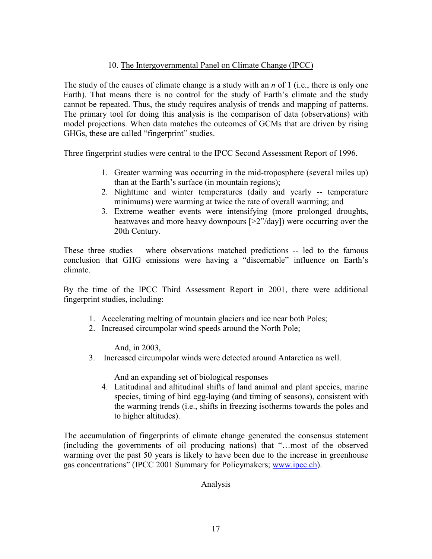## 10. The Intergovernmental Panel on Climate Change (IPCC)

The study of the causes of climate change is a study with an *n* of 1 (i.e., there is only one Earth). That means there is no control for the study of Earth's climate and the study cannot be repeated. Thus, the study requires analysis of trends and mapping of patterns. The primary tool for doing this analysis is the comparison of data (observations) with model projections. When data matches the outcomes of GCMs that are driven by rising GHGs, these are called "fingerprint" studies.

Three fingerprint studies were central to the IPCC Second Assessment Report of 1996.

- 1. Greater warming was occurring in the mid-troposphere (several miles up) than at the Earth's surface (in mountain regions);
- 2. Nighttime and winter temperatures (daily and yearly -- temperature minimums) were warming at twice the rate of overall warming; and
- 3. Extreme weather events were intensifying (more prolonged droughts, heatwaves and more heavy downpours [>2"/day]) were occurring over the 20th Century.

These three studies – where observations matched predictions -- led to the famous conclusion that GHG emissions were having a "discernable" influence on Earth's climate.

By the time of the IPCC Third Assessment Report in 2001, there were additional fingerprint studies, including:

- 1. Accelerating melting of mountain glaciers and ice near both Poles;
- 2. Increased circumpolar wind speeds around the North Pole;

And, in 2003,

3. Increased circumpolar winds were detected around Antarctica as well.

And an expanding set of biological responses

4. Latitudinal and altitudinal shifts of land animal and plant species, marine species, timing of bird egg-laying (and timing of seasons), consistent with the warming trends (i.e., shifts in freezing isotherms towards the poles and to higher altitudes).

The accumulation of fingerprints of climate change generated the consensus statement (including the governments of oil producing nations) that "…most of the observed warming over the past 50 years is likely to have been due to the increase in greenhouse gas concentrations" (IPCC 2001 Summary for Policymakers; [www.ipcc.ch\)](http://www.ipcc.ch/).

## Analysis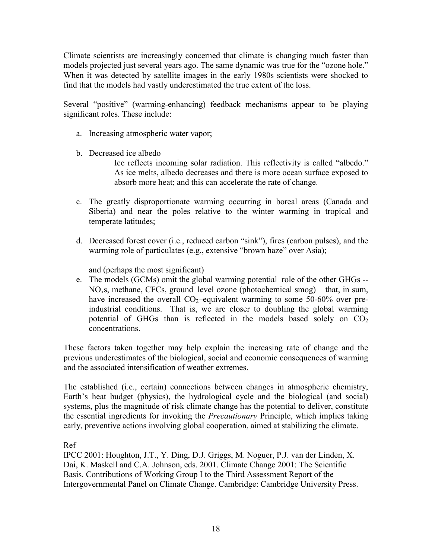Climate scientists are increasingly concerned that climate is changing much faster than models projected just several years ago. The same dynamic was true for the "ozone hole." When it was detected by satellite images in the early 1980s scientists were shocked to find that the models had vastly underestimated the true extent of the loss.

Several "positive" (warming-enhancing) feedback mechanisms appear to be playing significant roles. These include:

- a. Increasing atmospheric water vapor;
- b. Decreased ice albedo

Ice reflects incoming solar radiation. This reflectivity is called "albedo." As ice melts, albedo decreases and there is more ocean surface exposed to absorb more heat; and this can accelerate the rate of change.

- c. The greatly disproportionate warming occurring in boreal areas (Canada and Siberia) and near the poles relative to the winter warming in tropical and temperate latitudes;
- d. Decreased forest cover (i.e., reduced carbon "sink"), fires (carbon pulses), and the warming role of particulates (e.g., extensive "brown haze" over Asia);

and (perhaps the most significant)

e. The models (GCMs) omit the global warming potential role of the other GHGs --  $NO<sub>x</sub>s$ , methane, CFCs, ground–level ozone (photochemical smog) – that, in sum, have increased the overall  $CO_2$ -equivalent warming to some 50-60% over preindustrial conditions. That is, we are closer to doubling the global warming potential of GHGs than is reflected in the models based solely on  $CO<sub>2</sub>$ concentrations.

These factors taken together may help explain the increasing rate of change and the previous underestimates of the biological, social and economic consequences of warming and the associated intensification of weather extremes.

The established (i.e., certain) connections between changes in atmospheric chemistry, Earth's heat budget (physics), the hydrological cycle and the biological (and social) systems, plus the magnitude of risk climate change has the potential to deliver, constitute the essential ingredients for invoking the *Precautionary* Principle, which implies taking early, preventive actions involving global cooperation, aimed at stabilizing the climate.

Ref

IPCC 2001: Houghton, J.T., Y. Ding, D.J. Griggs, M. Noguer, P.J. van der Linden, X. Dai, K. Maskell and C.A. Johnson, eds. 2001. Climate Change 2001: The Scientific Basis. Contributions of Working Group I to the Third Assessment Report of the Intergovernmental Panel on Climate Change. Cambridge: Cambridge University Press.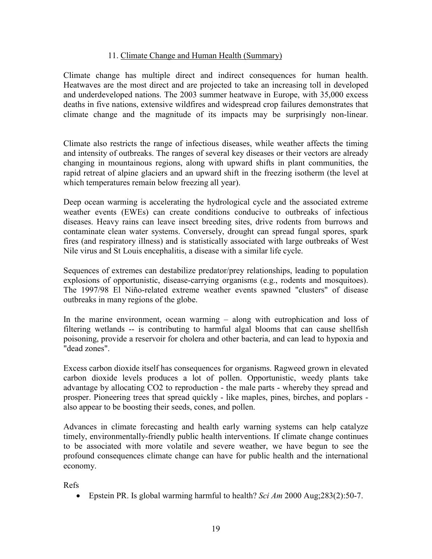## 11. Climate Change and Human Health (Summary)

Climate change has multiple direct and indirect consequences for human health. Heatwaves are the most direct and are projected to take an increasing toll in developed and underdeveloped nations. The 2003 summer heatwave in Europe, with 35,000 excess deaths in five nations, extensive wildfires and widespread crop failures demonstrates that climate change and the magnitude of its impacts may be surprisingly non-linear.

Climate also restricts the range of infectious diseases, while weather affects the timing and intensity of outbreaks. The ranges of several key diseases or their vectors are already changing in mountainous regions, along with upward shifts in plant communities, the rapid retreat of alpine glaciers and an upward shift in the freezing isotherm (the level at which temperatures remain below freezing all year).

Deep ocean warming is accelerating the hydrological cycle and the associated extreme weather events (EWEs) can create conditions conducive to outbreaks of infectious diseases. Heavy rains can leave insect breeding sites, drive rodents from burrows and contaminate clean water systems. Conversely, drought can spread fungal spores, spark fires (and respiratory illness) and is statistically associated with large outbreaks of West Nile virus and St Louis encephalitis, a disease with a similar life cycle.

Sequences of extremes can destabilize predator/prey relationships, leading to population explosions of opportunistic, disease-carrying organisms (e.g., rodents and mosquitoes). The 1997/98 El Niño-related extreme weather events spawned "clusters" of disease outbreaks in many regions of the globe.

In the marine environment, ocean warming – along with eutrophication and loss of filtering wetlands -- is contributing to harmful algal blooms that can cause shellfish poisoning, provide a reservoir for cholera and other bacteria, and can lead to hypoxia and "dead zones".

Excess carbon dioxide itself has consequences for organisms. Ragweed grown in elevated carbon dioxide levels produces a lot of pollen. Opportunistic, weedy plants take advantage by allocating CO2 to reproduction - the male parts - whereby they spread and prosper. Pioneering trees that spread quickly - like maples, pines, birches, and poplars also appear to be boosting their seeds, cones, and pollen.

Advances in climate forecasting and health early warning systems can help catalyze timely, environmentally-friendly public health interventions. If climate change continues to be associated with more volatile and severe weather, we have begun to see the profound consequences climate change can have for public health and the international economy.

Refs

• Epstein PR. Is global warming harmful to health? *Sci Am* 2000 Aug;283(2):50-7.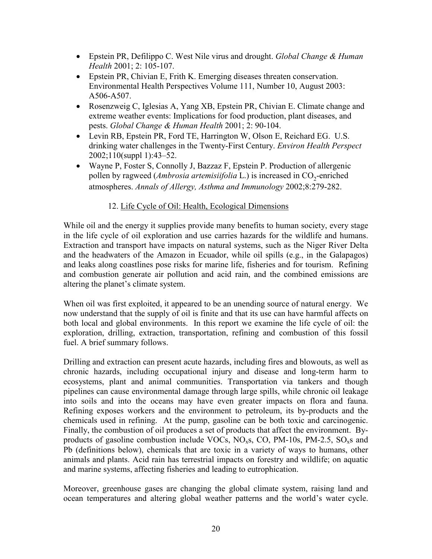- Epstein PR, Defilippo C. West Nile virus and drought. *Global Change & Human Health* 2001; 2: 105-107.
- Epstein PR, Chivian E, Frith K. Emerging diseases threaten conservation. Environmental Health Perspectives Volume 111, Number 10, August 2003: A506-A507.
- Rosenzweig C, Iglesias A, Yang XB, Epstein PR, Chivian E. Climate change and extreme weather events: Implications for food production, plant diseases, and pests. *Global Change & Human Health* 2001; 2: 90-104.
- Levin RB, Epstein PR, Ford TE, Harrington W, Olson E, Reichard EG. U.S. drinking water challenges in the Twenty-First Century. *Environ Health Perspect*  2002;110(suppl 1):43–52.
- Wayne P, Foster S, Connolly J, Bazzaz F, Epstein P. Production of allergenic pollen by ragweed (*Ambrosia artemisiifolia* L.) is increased in CO<sub>2</sub>-enriched atmospheres. *Annals of Allergy, Asthma and Immunology* 2002;8:279-282.

## 12. Life Cycle of Oil: Health, Ecological Dimensions

While oil and the energy it supplies provide many benefits to human society, every stage in the life cycle of oil exploration and use carries hazards for the wildlife and humans. Extraction and transport have impacts on natural systems, such as the Niger River Delta and the headwaters of the Amazon in Ecuador, while oil spills (e.g., in the Galapagos) and leaks along coastlines pose risks for marine life, fisheries and for tourism. Refining and combustion generate air pollution and acid rain, and the combined emissions are altering the planet's climate system.

When oil was first exploited, it appeared to be an unending source of natural energy. We now understand that the supply of oil is finite and that its use can have harmful affects on both local and global environments. In this report we examine the life cycle of oil: the exploration, drilling, extraction, transportation, refining and combustion of this fossil fuel. A brief summary follows.

Drilling and extraction can present acute hazards, including fires and blowouts, as well as chronic hazards, including occupational injury and disease and long-term harm to ecosystems, plant and animal communities. Transportation via tankers and though pipelines can cause environmental damage through large spills, while chronic oil leakage into soils and into the oceans may have even greater impacts on flora and fauna. Refining exposes workers and the environment to petroleum, its by-products and the chemicals used in refining. At the pump, gasoline can be both toxic and carcinogenic. Finally, the combustion of oil produces a set of products that affect the environment. Byproducts of gasoline combustion include VOCs,  $NO<sub>x</sub>$ s, CO, PM-10s, PM-2.5, SO<sub>x</sub>s and Pb (definitions below), chemicals that are toxic in a variety of ways to humans, other animals and plants. Acid rain has terrestrial impacts on forestry and wildlife; on aquatic and marine systems, affecting fisheries and leading to eutrophication.

Moreover, greenhouse gases are changing the global climate system, raising land and ocean temperatures and altering global weather patterns and the world's water cycle.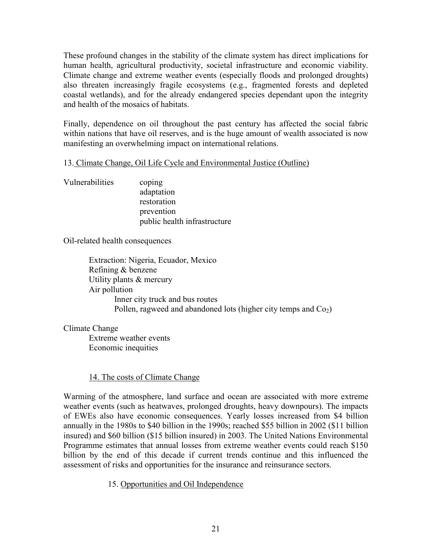These profound changes in the stability of the climate system has direct implications for human health, agricultural productivity, societal infrastructure and economic viability. Climate change and extreme weather events (especially floods and prolonged droughts) also threaten increasingly fragile ecosystems (e.g., fragmented forests and depleted coastal wetlands), and for the already endangered species dependant upon the integrity and health of the mosaics of habitats.

Finally, dependence on oil throughout the past century has affected the social fabric within nations that have oil reserves, and is the huge amount of wealth associated is now manifesting an overwhelming impact on international relations.

## 13. Climate Change, Oil Life Cycle and Environmental Justice (Outline)

Vulnerabilities coping adaptation restoration prevention public health infrastructure

Oil-related health consequences

Extraction: Nigeria, Ecuador, Mexico Refining & benzene Utility plants & mercury Air pollution Inner city truck and bus routes Pollen, ragweed and abandoned lots (higher city temps and  $Co<sub>2</sub>$ )

Climate Change

 Extreme weather events Economic inequities

## 14. The costs of Climate Change

Warming of the atmosphere, land surface and ocean are associated with more extreme weather events (such as heatwaves, prolonged droughts, heavy downpours). The impacts of EWEs also have economic consequences. Yearly losses increased from \$4 billion annually in the 1980s to \$40 billion in the 1990s; reached \$55 billion in 2002 (\$11 billion insured) and \$60 billion (\$15 billion insured) in 2003. The United Nations Environmental Programme estimates that annual losses from extreme weather events could reach \$150 billion by the end of this decade if current trends continue and this influenced the assessment of risks and opportunities for the insurance and reinsurance sectors.

15. Opportunities and Oil Independence